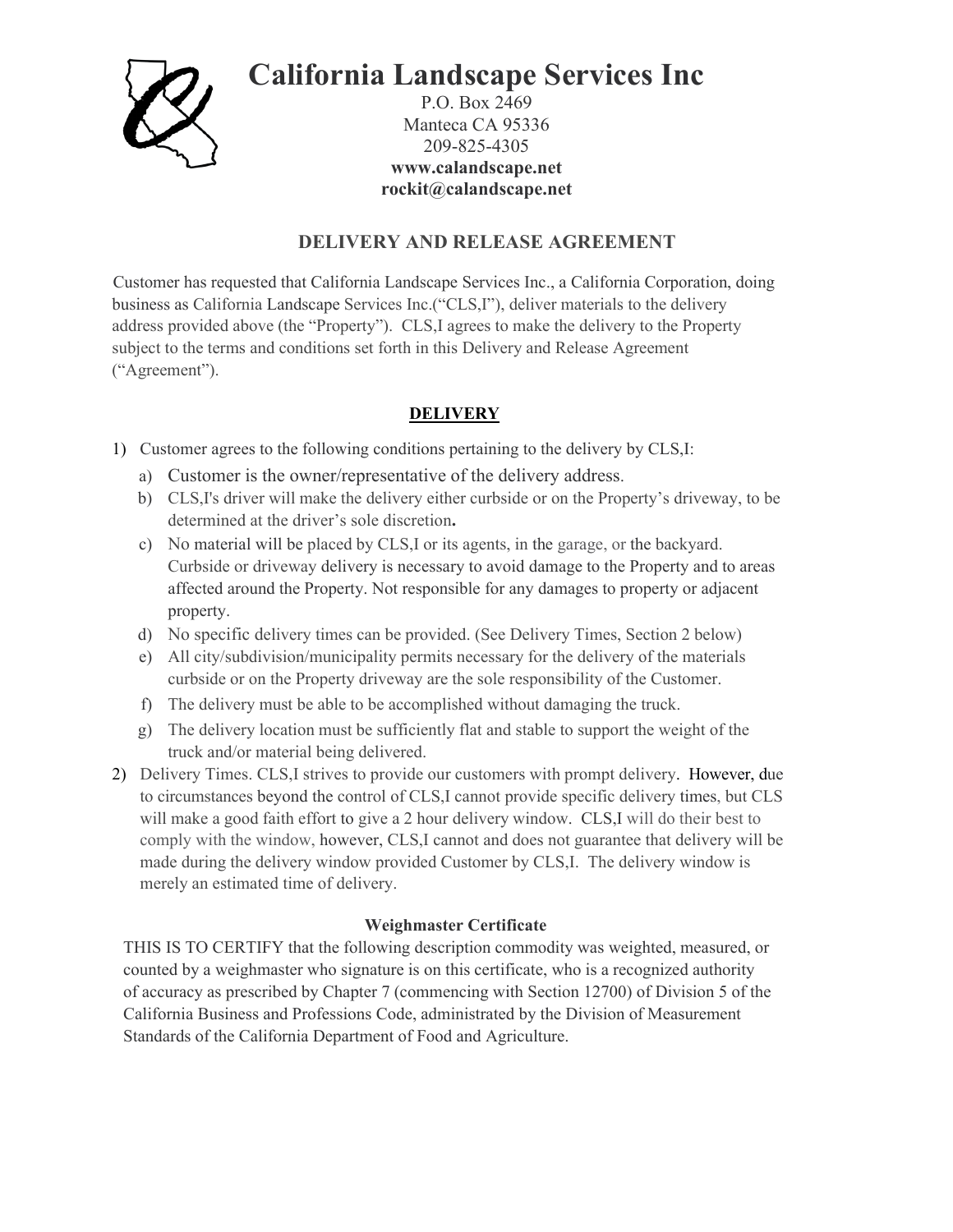

# **California Landscape Services Inc**

P.O. Box 2469 Manteca CA 95336 209-825-4305 **www.calandscape.net rockit@calandscape.net**

## **DELIVERY AND RELEASE AGREEMENT**

Customer has requested that California Landscape Services Inc., a California Corporation, doing business as California Landscape Services Inc.("CLS,I"), deliver materials to the delivery address provided above (the "Property"). CLS,I agrees to make the delivery to the Property subject to the terms and conditions set forth in this Delivery and Release Agreement ("Agreement").

### **DELIVERY**

- 1) Customer agrees to the following conditions pertaining to the delivery by CLS,I:
	- a) Customer is the owner/representative of the delivery address.
	- b) CLS,I's driver will make the delivery either curbside or on the Property's driveway, to be determined at the driver's sole discretion**.**
	- c) No material will be placed by CLS,I or its agents, in the garage, or the backyard. Curbside or driveway delivery is necessary to avoid damage to the Property and to areas affected around the Property. Not responsible for any damages to property or adjacent property.
	- d) No specific delivery times can be provided. (See Delivery Times, Section 2 below)
	- e) All city/subdivision/municipality permits necessary for the delivery of the materials curbside or on the Property driveway are the sole responsibility of the Customer.
	- f) The delivery must be able to be accomplished without damaging the truck.
	- g) The delivery location must be sufficiently flat and stable to support the weight of the truck and/or material being delivered.
- 2) Delivery Times. CLS,I strives to provide our customers with prompt delivery. However, due to circumstances beyond the control of CLS,I cannot provide specific delivery times, but CLS will make a good faith effort to give a 2 hour delivery window. CLS,I will do their best to comply with the window, however, CLS,I cannot and does not guarantee that delivery will be made during the delivery window provided Customer by CLS,I. The delivery window is merely an estimated time of delivery.

### **Weighmaster Certificate**

THIS IS TO CERTIFY that the following description commodity was weighted, measured, or counted by a weighmaster who signature is on this certificate, who is a recognized authority of accuracy as prescribed by Chapter 7 (commencing with Section 12700) of Division 5 of the California Business and Professions Code, administrated by the Division of Measurement Standards of the California Department of Food and Agriculture.